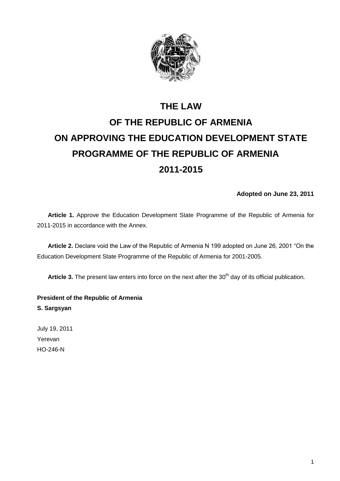

# **THE LAW OF THE REPUBLIC OF ARMENIA ON APPROVING THE EDUCATION DEVELOPMENT STATE PROGRAMME OF THE REPUBLIC OF ARMENIA 2011-2015**

**Adopted on June 23, 2011** 

**Article 1.** Approve the Education Development State Programme of the Republic of Armenia for 2011-2015 in accordance with the Annex.

**Article 2.** Declare void the Law of the Republic of Armenia N 199 adopted on June 26, 2001 "On the Education Development State Programme of the Republic of Armenia for 2001-2005.

Article 3. The present law enters into force on the next after the 30<sup>th</sup> day of its official publication.

**President of the Republic of Armenia S. Sargsyan** 

July 19, 2011 Yerevan HO-246-N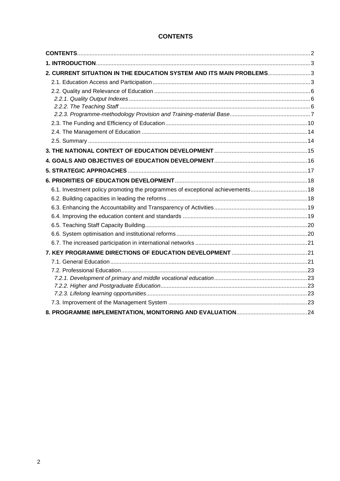# **CONTENTS**

<span id="page-1-0"></span>

| 2. CURRENT SITUATION IN THE EDUCATION SYSTEM AND ITS MAIN PROBLEMS3           |  |
|-------------------------------------------------------------------------------|--|
|                                                                               |  |
|                                                                               |  |
|                                                                               |  |
|                                                                               |  |
|                                                                               |  |
|                                                                               |  |
|                                                                               |  |
|                                                                               |  |
|                                                                               |  |
|                                                                               |  |
|                                                                               |  |
|                                                                               |  |
| 6.1. Investment policy promoting the programmes of exceptional achievements18 |  |
|                                                                               |  |
|                                                                               |  |
|                                                                               |  |
|                                                                               |  |
|                                                                               |  |
|                                                                               |  |
|                                                                               |  |
|                                                                               |  |
|                                                                               |  |
|                                                                               |  |
|                                                                               |  |
|                                                                               |  |
|                                                                               |  |
|                                                                               |  |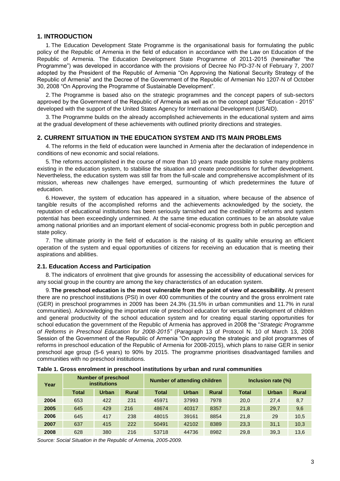## <span id="page-2-0"></span>**1. INTRODUCTION**

1. The Education Development State Programme is the organisational basis for formulating the public policy of the Republic of Armenia in the field of education in accordance with the Law on Education of the Republic of Armenia. The Education Development State Programme of 2011-2015 (hereinafter "the Programme") was developed in accordance with the provisions of Decree No PD-37-N of February 7, 2007 adopted by the President of the Republic of Armenia "On Approving the National Security Strategy of the Republic of Armenia" and the Decree of the Government of the Republic of Armenian No 1207-N of October 30, 2008 "On Approving the Programme of Sustainable Development".

2. The Programme is based also on the strategic programmes and the concept papers of sub-sectors approved by the Government of the Republic of Armenia as well as on the concept paper "Education - 2015" developed with the support of the United States Agency for International Development (USAID).

3. The Programme builds on the already accomplished achievements in the educational system and aims at the gradual development of these achievements with outlined priority directions and strategies.

## <span id="page-2-1"></span>**2. CURRENT SITUATION IN THE EDUCATION SYSTEM AND ITS MAIN PROBLEMS**

4. The reforms in the field of education were launched in Armenia after the declaration of independence in conditions of new economic and social relations.

5. The reforms accomplished in the course of more than 10 years made possible to solve many problems existing in the education system, to stabilise the situation and create preconditions for further development. Nevertheless, the education system was still far from the full-scale and comprehensive accomplishment of its mission, whereas new challenges have emerged, surmounting of which predetermines the future of education.

6. However, the system of education has appeared in a situation, where because of the absence of tangible results of the accomplished reforms and the achievements acknowledged by the society, the reputation of educational institutions has been seriously tarnished and the credibility of reforms and system potential has been exceedingly undermined. At the same time education continues to be an absolute value among national priorities and an important element of social-economic progress both in public perception and state policy.

7. The ultimate priority in the field of education is the raising of its quality while ensuring an efficient operation of the system and equal opportunities of citizens for receiving an education that is meeting their aspirations and abilities.

## <span id="page-2-2"></span>**2.1. Education Access and Participation**

8. The indicators of enrolment that give grounds for assessing the accessibility of educational services for any social group in the country are among the key characteristics of an education system.

9. **The preschool education is the most vulnerable from the point of view of accessibility.** At present there are no preschool institutions (PSI) in over 400 communities of the country and the gross enrolment rate (GER) in preschool programmes in 2009 has been 24.3% (31.5% in urban communities and 11.7% in rural communities). Acknowledging the important role of preschool education for versatile development of children and general productivity of the school education system and for creating equal starting opportunities for school education the government of the Republic of Armenia has approved in 2008 the "*Strategic Programme of Reforms in Preschool Education for 2008-2015"* (Paragraph 13 of Protocol N. 10 of March 13, 2008 Session of the Government of the Republic of Armenia "On approving the strategic and pilot programmes of reforms in preschool education of the Republic of Armenia for 2008-2015), which plans to raise GER in senior preschool age group (5-6 years) to 90% by 2015. The programme prioritises disadvantaged families and communities with no preschool institutions.

| Year | <b>Number of preschool</b><br><b>institutions</b> |              | <b>Number of attending children</b> |              |              | Inclusion rate (%) |              |       |              |
|------|---------------------------------------------------|--------------|-------------------------------------|--------------|--------------|--------------------|--------------|-------|--------------|
|      | <b>Total</b>                                      | <b>Urban</b> | <b>Rural</b>                        | <b>Total</b> | <b>Urban</b> | <b>Rural</b>       | <b>Total</b> | Urban | <b>Rural</b> |
| 2004 | 653                                               | 422          | 231                                 | 45971        | 37993        | 7978               | 20,0         | 27.4  | 8,7          |
| 2005 | 645                                               | 429          | 216                                 | 48674        | 40317        | 8357               | 21,8         | 29,7  | 9,6          |
| 2006 | 645                                               | 417          | 238                                 | 48015        | 39161        | 8854               | 21.8         | 29    | 10,5         |
| 2007 | 637                                               | 415          | 222                                 | 50491        | 42102        | 8389               | 23.3         | 31.1  | 10,3         |
| 2008 | 628                                               | 380          | 216                                 | 53718        | 44736        | 8982               | 29.8         | 39.3  | 13,6         |

**Table 1. Gross enrolment in preschool institutions by urban and rural communities**

*Source: Social Situation in the Republic of Armenia, 2005-2009.*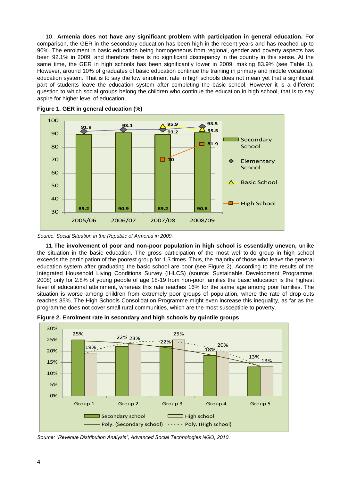10. **Armenia does not have any significant problem with participation in general education.** For comparison, the GER in the secondary education has been high in the recent years and has reached up to 90%. The enrolment in basic education being homogeneous from regional, gender and poverty aspects has been 92.1% in 2009, and therefore there is no significant discrepancy in the country in this sense. At the same time, the GER in high schools has been significantly lower in 2009, making 83.9% (see Table 1). However, around 10% of graduates of basic education continue the training in primary and middle vocational education system. That is to say the low enrolment rate in high schools does not mean yet that a significant part of students leave the education system after completing the basic school. However it is a different question to which social groups belong the children who continue the education in high school, that is to say aspire for higher level of education.





*Source: Social Situation in the Republic of Armenia in 2009.*

11.**The involvement of poor and non-poor population in high school is essentially uneven,** unlike the situation in the basic education. The gross participation of the most well-to-do group in high school exceeds the participation of the poorest group for 1.3 times. Thus, the majority of those who leave the general education system after graduating the basic school are poor (see Figure 2). According to the results of the Integrated Household Living Conditions Survey (IHLCS) (source: Sustainable Development Programme, 2008) only for 2.8% of young people of age 18-19 from non-poor families the basic education is the highest level of educational attainment, whereas this rate reaches 16% for the same age among poor families. The situation is worse among children from extremely poor groups of population, where the rate of drop-outs reaches 35%. The High Schools Consolidation Programme might even increase this inequality, as far as the programme does not cover small rural communities, which are the most susceptible to poverty.



**Figure 2. Enrolment rate in secondary and high schools by quintile groups**

*Source: "Revenue Distribution Analysis", Advanced Social Technologies NGO, 2010.*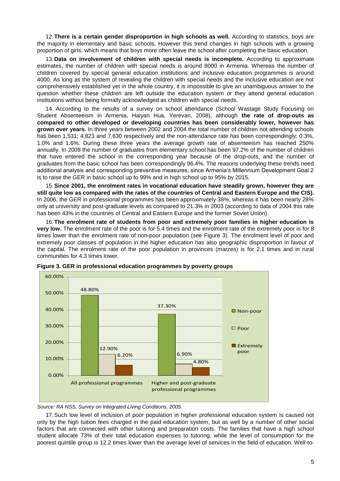12.**There is a certain gender disproportion in high schools as well.** According to statistics, boys are the majority in elementary and basic schools. However this trend changes in high schools with a growing proportion of girls, which means that boys more often leave the school after completing the basic education.

13.**Data on involvement of children with special needs is incomplete.** According to approximate estimates, the number of children with special needs is around 8000 in Armenia. Whereas the number of children covered by special general education institutions and inclusive education programmes is around 4000. As long as the system of revealing the children with special needs and the inclusive education are not comprehensively established yet in the whole country, it is impossible to give an unambiguous answer to the question whether these children are left outside the education system or they attend general education institutions without being formally acknowledged as children with special needs.

14. According to the results of a survey on school attendance (School Wastage Study Focusing on Student Absenteeism in Armenia, Haiyan Hua, Yerevan, 2008), although **the rate of drop-outs as compared to other developed or developing countries has been considerably lower, however has grown over years.** In three years between 2002 and 2004 the total number of children not attending schools has been 1,531; 4,823 and 7,630 respectively and the non-attendance rate has been correspondingly: 0.3%, 1.0% and 1.6%. During these three years the average growth rate of absenteeism has reached 250% annually. In 2008 the number of graduates from elementary school has been 97.2% of the number of children that have entered the school in the corresponding year because of the drop-outs, and the number of graduates from the basic school has been correspondingly 96.4%. The reasons underlying these trends need additional analysis and corresponding preventive measures, since Armenia's Millennium Development Goal 2 is to raise the GER in basic school up to 99% and in high school up to 95% by 2015.

15.**Since 2001, the enrolment rates in vocational education have steadily grown, however they are still quite low as compared with the rates of the countries of Central and Eastern Europe and the CIS).** In 2006, the GER in professional programmes has been approximately 38%, whereas it has been nearly 28% only at university and post-graduate levels as compared to 21.3% in 2003 (according to data of 2004 this rate has been 43% in the countries of Central and Eastern Europe and the former Soviet Union).

16.**The enrolment rate of students from poor and extremely poor families in higher education is very low.** The enrolment rate of the poor is for 5.4 times and the enrolment rate of the extremely poor is for 8 times lower than the enrolment rate of non-poor population (see Figure 3). The enrolment level of poor and extremely poor classes of population in the higher education has also geographic disproportion in favour of the capital. The enrolment rate of the poor population in provinces (marzes) is for 2.1 times and in rural communities for 4.3 times lower.



**Figure 3. GER in professional education programmes by poverty groups**

*Source: RA NSS, Survey on Integrated Living Conditions, 2005.*

17.Such low level of inclusion of poor population in higher professional education system is caused not only by the high tuition fees charged in the paid education system, but as well by a number of other social factors that are connected with other tutoring and preparation costs. The families that have a high school student allocate 73% of their total education expenses to tutoring, while the level of consumption for the poorest quintile group is 12.2 times lower than the average level of services in the field of education. Well-to-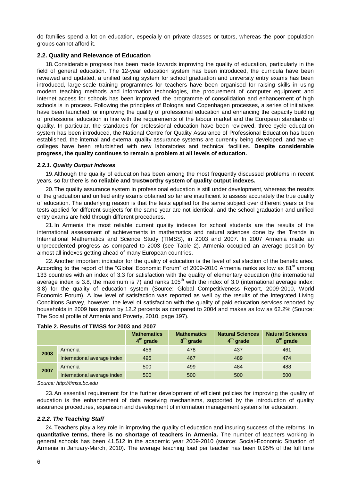do families spend a lot on education, especially on private classes or tutors, whereas the poor population groups cannot afford it.

## <span id="page-5-0"></span>**2.2. Quality and Relevance of Education**

18.Considerable progress has been made towards improving the quality of education, particularly in the field of general education. The 12-year education system has been introduced, the curricula have been reviewed and updated, a unified testing system for school graduation and university entry exams has been introduced, large-scale training programmes for teachers have been organised for raising skills in using modern teaching methods and information technologies, the procurement of computer equipment and Internet access for schools has been improved, the programme of consolidation and enhancement of high schools is in process. Following the principles of Bologna and Copenhagen processes, a series of initiatives have been launched for improving the quality of professional education and enhancing the capacity building of professional education in line with the requirements of the labour market and the European standards of quality. In particular, the standards for professional education have been reviewed, three-cycle education system has been introduced, the National Centre for Quality Assurance of Professional Education has been established, the internal and external quality assurance systems are currently being developed, and twelve colleges have been refurbished with new laboratories and technical facilities. **Despite considerable progress, the quality continues to remain a problem at all levels of education.**

## <span id="page-5-1"></span>*2.2.1. Quality Output Indexes*

19.Although the quality of education has been among the most frequently discussed problems in recent years, so far there is **no reliable and trustworthy system of quality output indexes.** 

20.The quality assurance system in professional education is still under development, whereas the results of the graduation and unified entry exams obtained so far are insufficient to assess accurately the true quality of education. The underlying reason is that the tests applied for the same subject over different years or the tests applied for different subjects for the same year are not identical, and the school graduation and unified entry exams are held through different procedures.

21.In Armenia the most reliable current quality indexes for school students are the results of the international assessment of achievements in mathematics and natural sciences done by the Trends in International Mathematics and Science Study (TIMSS), in 2003 and 2007. In 2007 Armenia made an unprecedented progress as compared to 2003 (see Table 2). Armenia occupied an average position by almost all indexes getting ahead of many European countries.

22.Another important indicator for the quality of education is the level of satisfaction of the beneficiaries. According to the report of the "Global Economic Forum" of 2009-2010 Armenia ranks as low as 81<sup>st</sup> among 133 countries with an index of 3.3 for satisfaction with the quality of elementary education (the international average index is 3.8, the maximum is 7) and ranks  $105<sup>th</sup>$  with the index of 3.0 (international average index: 3.8) for the quality of education system (Source: Global Competitiveness Report, 2009-2010, World Economic Forum). A low level of satisfaction was reported as well by the results of the Integrated Living Conditions Survey, however, the level of satisfaction with the quality of paid education services reported by households in 2009 has grown by 12.2 percents as compared to 2004 and makes as low as 62.2% (Source: The Social profile of Armenia and Poverty, 2010, page 197).

|      |                             | <b>Mathematics</b><br>$4th$ grade | <b>Mathematics</b><br>8 <sup>th</sup> grade | <b>Natural Sciences</b><br>$4th$ grade | <b>Natural Sciences</b><br>8 <sup>th</sup> grade |
|------|-----------------------------|-----------------------------------|---------------------------------------------|----------------------------------------|--------------------------------------------------|
| 2003 | Armenia                     | 456                               | 478                                         | 437                                    | 461                                              |
|      | International average index | 495                               | 467                                         | 489                                    | 474                                              |
|      | Armenia                     | 500                               | 499                                         | 484                                    | 488                                              |
| 2007 | International average index | 500                               | 500                                         | 500                                    | 500                                              |

## **Table 2. Results of TIMSS for 2003 and 2007**

*Source[: http://timss.bc.edu](http://timss.bc.edu/)*

23.An essential requirement for the further development of efficient policies for improving the quality of education is the enhancement of data receiving mechanisms, supported by the introduction of quality assurance procedures, expansion and development of information management systems for education.

## <span id="page-5-2"></span>*2.2.2. The Teaching Staff*

24.Teachers play a key role in improving the quality of education and insuring success of the reforms. **In quantitative terms, there is no shortage of teachers in Armenia.** The number of teachers working in general schools has been 41,512 in the academic year 2009-2010 (source: Social-Economic Situation of Armenia in January-March, 2010). The average teaching load per teacher has been 0.95% of the full time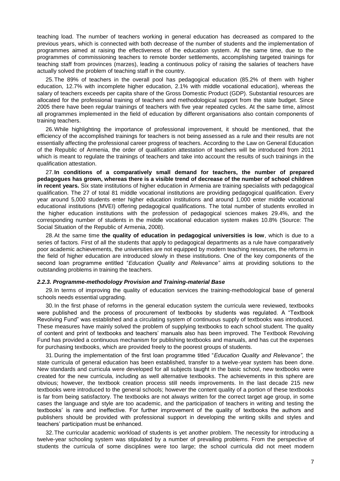teaching load. The number of teachers working in general education has decreased as compared to the previous years, which is connected with both decrease of the number of students and the implementation of programmes aimed at raising the effectiveness of the education system. At the same time, due to the programmes of commissioning teachers to remote border settlements, accomplishing targeted trainings for teaching staff from provinces (marzes), leading a continuous policy of raising the salaries of teachers have actually solved the problem of teaching staff in the country.

25.The 89% of teachers in the overall pool has pedagogical education (85.2% of them with higher education, 12.7% with incomplete higher education, 2.1% with middle vocational education), whereas the salary of teachers exceeds per capita share of the Gross Domestic Product (GDP). Substantial resources are allocated for the professional training of teachers and methodological support from the state budget. Since 2005 there have been regular trainings of teachers with five year repeated cycles. At the same time, almost all programmes implemented in the field of education by different organisations also contain components of training teachers.

26.While highlighting the importance of professional improvement, it should be mentioned, that the efficiency of the accomplished trainings for teachers is not being assessed as a rule and their results are not essentially affecting the professional career progress of teachers. According to the Law on General Education of the Republic of Armenia, the order of qualification attestation of teachers will be introduced from 2011 which is meant to regulate the trainings of teachers and take into account the results of such trainings in the qualification attestation.

27.**In conditions of a comparatively small demand for teachers, the number of prepared pedagogues has grown, whereas there is a visible trend of decrease of the number of school children in recent years.** Six state institutions of higher education in Armenia are training specialists with pedagogical qualification. The 27 of total 81 middle vocational institutions are providing pedagogical qualification. Every year around 5,000 students enter higher education institutions and around 1,000 enter middle vocational educational institutions (MVEI) offering pedagogical qualifications. The total number of students enrolled in the higher education institutions with the profession of pedagogical sciences makes 29.4%, and the corresponding number of students in the middle vocational education system makes 10.8% (Source: The Social Situation of the Republic of Armenia, 2008).

28.At the same time **the quality of education in pedagogical universities is low**, which is due to a series of factors. First of all the students that apply to pedagogical departments as a rule have comparatively poor academic achievements, the universities are not equipped by modern teaching resources, the reforms in the field of higher education are introduced slowly in these institutions. One of the key components of the second loan programme entitled "*Education Quality and Relevance"* aims at providing solutions to the outstanding problems in training the teachers.

#### <span id="page-6-0"></span>*2.2.3. Programme-methodology Provision and Training-material Base*

29.In terms of improving the quality of education services the training-methodological base of general schools needs essential upgrading.

30.In the first phase of reforms in the general education system the curricula were reviewed, textbooks were published and the process of procurement of textbooks by students was regulated. A "Textbook Revolving Fund" was established and a circulating system of continuous supply of textbooks was introduced. These measures have mainly solved the problem of supplying textbooks to each school student. The quality of content and print of textbooks and teachers' manuals also has been improved. The Textbook Revolving Fund has provided a continuous mechanism for publishing textbooks and manuals, and has cut the expenses for purchasing textbooks, which are provided freely to the poorest groups of students.

31.During the implementation of the first loan programme titled "*Education Quality and Relevance",* the state curricula of general education has been established, transfer to a twelve-year system has been done. New standards and curricula were developed for all subjects taught in the basic school, new textbooks were created for the new curricula, including as well alternative textbooks. The achievements in this sphere are obvious; however, the textbook creation process still needs improvements. In the last decade 215 new textbooks were introduced to the general schools; however the content quality of a portion of these textbooks is far from being satisfactory. The textbooks are not always written for the correct target age group, in some cases the language and style are too academic, and the participation of teachers in writing and testing the textbooks' is rare and ineffective. For further improvement of the quality of textbooks the authors and publishers should be provided with professional support in developing the writing skills and styles and teachers' participation must be enhanced.

32.The curricular academic workload of students is yet another problem. The necessity for introducing a twelve-year schooling system was stipulated by a number of prevailing problems. From the perspective of students the curricula of some disciplines were too large; the school curricula did not meet modern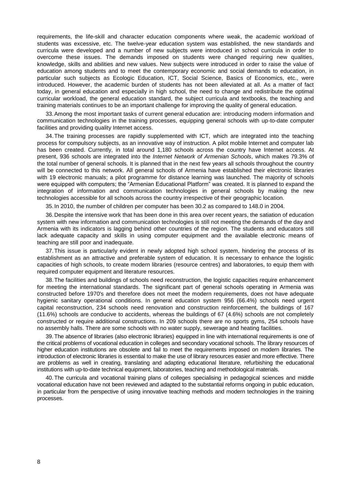requirements, the life-skill and character education components where weak, the academic workload of students was excessive, etc. The twelve-year education system was established, the new standards and curricula were developed and a number of new subjects were introduced in school curricula in order to overcome these issues. The demands imposed on students were changed requiring new qualities, knowledge, skills and abilities and new values. New subjects were introduced in order to raise the value of education among students and to meet the contemporary economic and social demands to education, in particular such subjects as Ecologic Education, ICT, Social Science, Basics of Economics, etc., were introduced. However, the academic burden of students has not been alleviated at all. As a matter of fact today, in general education and especially in high school, the need to change and redistribute the optimal curricular workload, the general education standard, the subject curricula and textbooks, the teaching and training materials continues to be an important challenge for improving the quality of general education.

33.Among the most important tasks of current general education are: introducing modern information and communication technologies in the training processes, equipping general schools with up-to-date computer facilities and providing quality Internet access.

34.The training processes are rapidly supplemented with ICT, which are integrated into the teaching process for compulsory subjects, as an innovative way of instruction. A pilot mobile Internet and computer lab has been created. Currently, in total around 1,180 schools across the country have Internet access. At present, 936 schools are integrated into the *Internet Network of Armenian Schools*, which makes 79.3% of the total number of general schools. It is planned that in the next few years all schools throughout the country will be connected to this network. All general schools of Armenia have established their electronic libraries with 19 electronic manuals; a pilot programme for distance learning was launched. The majority of schools were equipped with computers; the "Armenian Educational Platform" was created. It is planned to expand the integration of information and communication technologies in general schools by making the new technologies accessible for all schools across the country irrespective of their geographic location.

35.In 2010, the number of children per computer has been 30.2 as compared to 148.0 in 2004.

36.Despite the intensive work that has been done in this area over recent years, the satiation of education system with new information and communication technologies is still not meeting the demands of the day and Armenia with its indicators is lagging behind other countries of the region. The students and educators still lack adequate capacity and skills in using computer equipment and the available electronic means of teaching are still poor and inadequate.

37.This issue is particularly evident in newly adopted high school system, hindering the process of its establishment as an attractive and preferable system of education. It is necessary to enhance the logistic capacities of high schools, to create modern libraries (resource centres) and laboratories, to equip them with required computer equipment and literature resources.

38.The facilities and buildings of schools need reconstruction, the logistic capacities require enhancement for meeting the international standards. The significant part of general schools operating in Armenia was constructed before 1970's and therefore does not meet the modern requirements, does not have adequate hygienic sanitary operational conditions. In general education system 956 (66.4%) schools need urgent capital reconstruction, 234 schools need renovation and construction reinforcement, the buildings of 167 (11.6%) schools are conducive to accidents, whereas the buildings of 67 (4.6%) schools are not completely constructed or require additional constructions. In 209 schools there are no sports gyms, 254 schools have no assembly halls. There are some schools with no water supply, sewerage and heating facilities.

39. The absence of libraries (also electronic libraries) equipped in line with international requirements is one of the critical problems of vocational education in colleges and secondary vocational schools. The library resources of higher education institutions are obsolete and fail to meet the requirements imposed on modern libraries. The introduction of electronic libraries is essential to make the use of library resources easier and more effective. There are problems as well in creating, translating and adapting educational literature, refurbishing the educational institutions with up-to-date technical equipment, laboratories, teaching and methodological materials.

40. The curricula and vocational training plans of colleges specialising in pedagogical sciences and middle vocational education have not been reviewed and adapted to the substantial reforms ongoing in public education, in particular from the perspective of using innovative teaching methods and modern technologies in the training processes.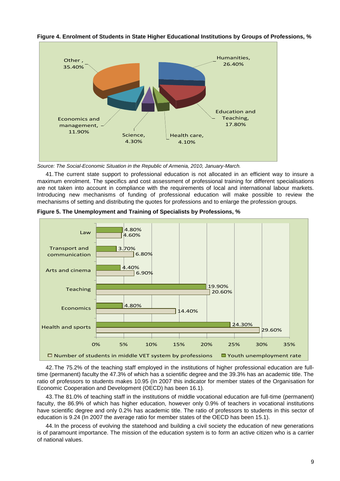

## **Figure 4. Enrolment of Students in State Higher Educational Institutions by Groups of Professions, %**

*Source: The Social-Economic Situation in the Republic of Armenia, 2010, January-March.*

41.The current state support to professional education is not allocated in an efficient way to insure a maximum enrolment. The specifics and cost assessment of professional training for different specialisations are not taken into account in compliance with the requirements of local and international labour markets. Introducing new mechanisms of funding of professional education will make possible to review the mechanisms of setting and distributing the quotes for professions and to enlarge the profession groups.



**Figure 5. The Unemployment and Training of Specialists by Professions, %**

42.The 75.2% of the teaching staff employed in the institutions of higher professional education are fulltime (permanent) faculty the 47.3% of which has a scientific degree and the 39.3% has an academic title. The ratio of professors to students makes 10.95 (In 2007 this indicator for member states of the Organisation for Economic Cooperation and Development (OECD) has been 16.1).

43.The 81.0% of teaching staff in the institutions of middle vocational education are full-time (permanent) faculty, the 86.9% of which has higher education, however only 0.9% of teachers in vocational institutions have scientific degree and only 0.2% has academic title. The ratio of professors to students in this sector of education is 9.24 (In 2007 the average ratio for member states of the OECD has been 15.1).

44.In the process of evolving the statehood and building a civil society the education of new generations is of paramount importance. The mission of the education system is to form an active citizen who is a carrier of national values.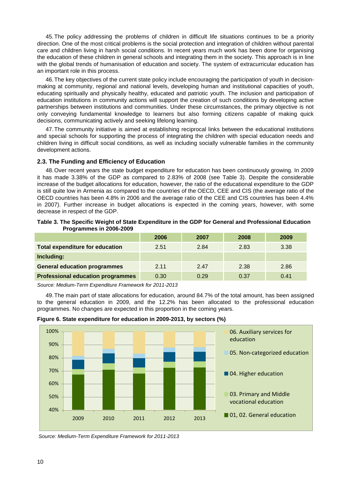45.The policy addressing the problems of children in difficult life situations continues to be a priority direction. One of the most critical problems is the social protection and integration of children without parental care and children living in harsh social conditions. In recent years much work has been done for organising the education of these children in general schools and integrating them in the society. This approach is in line with the global trends of humanisation of education and society. The system of extracurricular education has an important role in this process.

46.The key objectives of the current state policy include encouraging the participation of youth in decisionmaking at community, regional and national levels, developing human and institutional capacities of youth, educating spiritually and physically healthy, educated and patriotic youth. The inclusion and participation of education institutions in community actions will support the creation of such conditions by developing active partnerships between institutions and communities. Under these circumstances, the primary objective is not only conveying fundamental knowledge to learners but also forming citizens capable of making quick decisions, communicating actively and seeking lifelong learning.

47.The community initiative is aimed at establishing reciprocal links between the educational institutions and special schools for supporting the process of integrating the children with special education needs and children living in difficult social conditions, as well as including socially vulnerable families in the community development actions.

#### <span id="page-9-0"></span>**2.3. The Funding and Efficiency of Education**

48.Over recent years the state budget expenditure for education has been continuously growing. In 2009 it has made 3.38% of the GDP as compared to 2.83% of 2008 (see Table 3). Despite the considerable increase of the budget allocations for education, however, the ratio of the educational expenditure to the GDP is still quite low in Armenia as compared to the countries of the OECD, CEE and CIS (the average ratio of the OECD countries has been 4.8% in 2006 and the average ratio of the CEE and CIS countries has been 4.4% in 2007). Further increase in budget allocations is expected in the coming years, however, with some decrease in respect of the GDP.

| Table 3. The Specific Weight of State Expenditure in the GDP for General and Professional Education |  |  |
|-----------------------------------------------------------------------------------------------------|--|--|
| Programmes in 2006-2009                                                                             |  |  |
|                                                                                                     |  |  |

|                                          | 2006 | 2007 | 2008 | 2009 |
|------------------------------------------|------|------|------|------|
| <b>Total expenditure for education</b>   | 2.51 | 2.84 | 2.83 | 3.38 |
| Including:                               |      |      |      |      |
| <b>General education programmes</b>      | 2.11 | 2.47 | 2.38 | 2.86 |
| <b>Professional education programmes</b> | 0.30 | 0.29 | 0.37 | 0.41 |

*Source: Medium-Term Expenditure Framework for 2011-2013*

49.The main part of state allocations for education, around 84.7% of the total amount, has been assigned to the general education in 2009, and the 12.2% has been allocated to the professional education programmes. No changes are expected in this proportion in the coming years.



**Figure 6. State expenditure for education in 2009-2013, by sectors (%)**

*Source: Medium-Term Expenditure Framework for 2011-2013*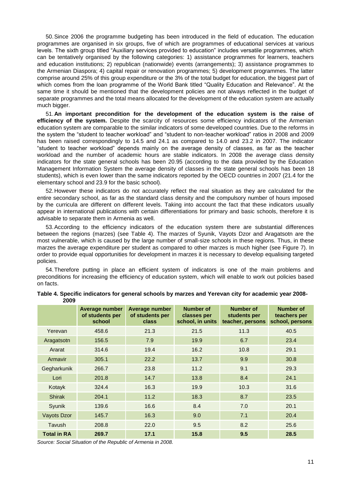50.Since 2006 the programme budgeting has been introduced in the field of education. The education programmes are organised in six groups, five of which are programmes of educational services at various levels. The sixth group titled "Auxiliary services provided to education" includes versatile programmes, which can be tentatively organised by the following categories: 1) assistance programmes for learners, teachers and education institutions; 2) republican (nationwide) events (arrangements); 3) assistance programmes to the Armenian Diaspora; 4) capital repair or renovation programmes; 5) development programmes. The latter comprise around 25% of this group expenditure or the 3% of the total budget for education, the biggest part of which comes from the loan programme of the World Bank titled "Quality Education and Relevance". At the same time it should be mentioned that the development policies are not always reflected in the budget of separate programmes and the total means allocated for the development of the education system are actually much bigger.

51.**An important precondition for the development of the education system is the raise of efficiency of the system.** Despite the scarcity of resources some efficiency indicators of the Armenian education system are comparable to the similar indicators of some developed countries. Due to the reforms in the system the "student to teacher workload" and "student to non-teacher workload" ratios in 2008 and 2009 has been raised correspondingly to 14.5 and 24.1 as compared to 14.0 and 23.2 in 2007. The indicator "student to teacher workload" depends mainly on the average density of classes, as far as the teacher workload and the number of academic hours are stable indicators. In 2008 the average class density indicators for the state general schools has been 20.95 (according to the data provided by the Education Management Information System the average density of classes in the state general schools has been 18 students), which is even lower than the same indicators reported by the OECD countries in 2007 (21.4 for the elementary school and 23.9 for the basic school).

52.However these indicators do not accurately reflect the real situation as they are calculated for the entire secondary school, as far as the standard class density and the compulsory number of hours imposed by the curricula are different on different levels. Taking into account the fact that these indicators usually appear in international publications with certain differentiations for primary and basic schools, therefore it is advisable to separate them in Armenia as well.

53.According to the efficiency indicators of the education system there are substantial differences between the regions (marzes) (see Table 4). The marzes of Syunik, Vayots Dzor and Aragatsotn are the most vulnerable, which is caused by the large number of small-size schools in these regions. Thus, in these marzes the average expenditure per student as compared to other marzes is much higher (see Figure 7). In order to provide equal opportunities for development in marzes it is necessary to develop equalising targeted policies.

54.Therefore putting in place an efficient system of indicators is one of the main problems and preconditions for increasing the efficiency of education system, which will enable to work out policies based on facts.

|                    | Average number<br>of students per<br>school | Average number<br>of students per<br><b>class</b> | Number of<br>classes per<br>school, in units | Number of<br>students per<br>teacher, persons | <b>Number of</b><br>teachers per<br>school, persons |
|--------------------|---------------------------------------------|---------------------------------------------------|----------------------------------------------|-----------------------------------------------|-----------------------------------------------------|
| Yerevan            | 458.6                                       | 21.3                                              | 21.5                                         | 11.3                                          | 40.5                                                |
| Aragatsotn         | 156.5                                       | 7.9                                               | 19.9                                         | 6.7                                           | 23.4                                                |
| Ararat             | 314.6                                       | 19.4                                              | 16.2                                         | 10.8                                          | 29.1                                                |
| Armavir            | 305.1                                       | 22.2                                              | 13.7                                         | 9.9                                           | 30.8                                                |
| Gegharkunik        | 266.7                                       | 23.8                                              | 11.2                                         | 9.1                                           | 29.3                                                |
| Lori               | 201.8                                       | 14.7                                              | 13.8                                         | 8.4                                           | 24.1                                                |
| Kotayk             | 324.4                                       | 16.3                                              | 19.9                                         | 10.3                                          | 31.6                                                |
| <b>Shirak</b>      | 204.1                                       | 11.2                                              | 18.3                                         | 8.7                                           | 23.5                                                |
| Syunik             | 139.6                                       | 16.6                                              | 8.4                                          | 7.0                                           | 20.1                                                |
| Vayots Dzor        | 145.7                                       | 16.3                                              | 9.0                                          | 7.1                                           | 20.4                                                |
| <b>Tavush</b>      | 208.8                                       | 22.0                                              | 9.5                                          | 8.2                                           | 25.6                                                |
| <b>Total in RA</b> | 269.7                                       | 17.1                                              | 15.8                                         | 9.5                                           | 28.5                                                |

| Table 4. Specific indicators for general schools by marzes and Yerevan city for academic year 2008- |  |  |  |
|-----------------------------------------------------------------------------------------------------|--|--|--|
| 2009                                                                                                |  |  |  |

*Source: Social Situation of the Republic of Armenia in 2008.*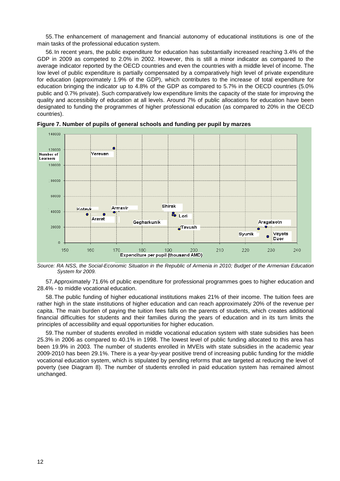55.The enhancement of management and financial autonomy of educational institutions is one of the main tasks of the professional education system.

56.In recent years, the public expenditure for education has substantially increased reaching 3.4% of the GDP in 2009 as competed to 2.0% in 2002. However, this is still a minor indicator as compared to the average indicator reported by the OECD countries and even the countries with a middle level of income. The low level of public expenditure is partially compensated by a comparatively high level of private expenditure for education (approximately 1.9% of the GDP), which contributes to the increase of total expenditure for education bringing the indicator up to 4.8% of the GDP as compared to 5.7% in the OECD countries (5.0% public and 0.7% private). Such comparatively low expenditure limits the capacity of the state for improving the quality and accessibility of education at all levels. Around 7% of public allocations for education have been designated to funding the programmes of higher professional education (as compared to 20% in the OECD countries).



**Figure 7. Number of pupils of general schools and funding per pupil by marzes**

*Source: RA NSS, the Social-Economic Situation in the Republic of Armenia in 2010; Budget of the Armenian Education System for 2009.*

57.Approximately 71.6% of public expenditure for professional programmes goes to higher education and 28.4% - to middle vocational education.

58.The public funding of higher educational institutions makes 21% of their income. The tuition fees are rather high in the state institutions of higher education and can reach approximately 20% of the revenue per capita. The main burden of paying the tuition fees falls on the parents of students, which creates additional financial difficulties for students and their families during the years of education and in its turn limits the principles of accessibility and equal opportunities for higher education.

59.The number of students enrolled in middle vocational education system with state subsidies has been 25.3% in 2006 as compared to 40.1% in 1998. The lowest level of public funding allocated to this area has been 19.9% in 2003. The number of students enrolled in MVEIs with state subsidies in the academic year 2009-2010 has been 29.1%. There is a year-by-year positive trend of increasing public funding for the middle vocational education system, which is stipulated by pending reforms that are targeted at reducing the level of poverty (see Diagram 8). The number of students enrolled in paid education system has remained almost unchanged.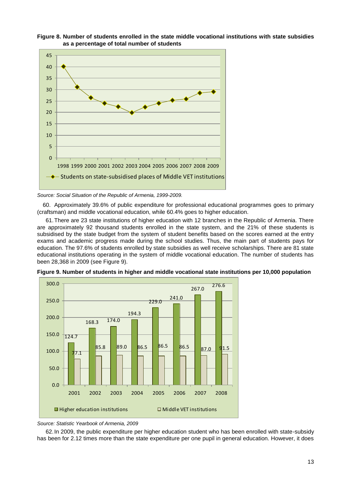



60. Approximately 39.6% of public expenditure for professional educational programmes goes to primary (craftsman) and middle vocational education, while 60.4% goes to higher education.

61.There are 23 state institutions of higher education with 12 branches in the Republic of Armenia. There are approximately 92 thousand students enrolled in the state system, and the 21% of these students is subsidised by the state budget from the system of student benefits based on the scores earned at the entry exams and academic progress made during the school studies. Thus, the main part of students pays for education. The 97.6% of students enrolled by state subsidies as well receive scholarships. There are 81 state educational institutions operating in the system of middle vocational education. The number of students has been 28,368 in 2009 (see Figure 9).





*Source: Statistic Yearbook of Armenia, 2009*

62.In 2009, the public expenditure per higher education student who has been enrolled with state-subsidy has been for 2.12 times more than the state expenditure per one pupil in general education. However, it does

*Source: Social Situation of the Republic of Armenia, 1999-2009.*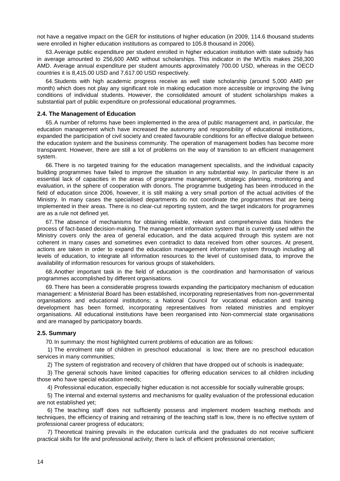not have a negative impact on the GER for institutions of higher education (in 2009, 114.6 thousand students were enrolled in higher education institutions as compared to 105.8 thousand in 2006).

63.Average public expenditure per student enrolled in higher education institution with state subsidy has in average amounted to 256,600 AMD without scholarships. This indicator in the MVEIs makes 258,300 AMD. Average annual expenditure per student amounts approximately 700.00 USD, whereas in the OECD countries it is 8,415.00 USD and 7,617.00 USD respectively.

64.Students with high academic progress receive as well state scholarship (around 5,000 AMD per month) which does not play any significant role in making education more accessible or improving the living conditions of individual students. However, the consolidated amount of student scholarships makes a substantial part of public expenditure on professional educational programmes.

#### <span id="page-13-0"></span>**2.4. The Management of Education**

65.A number of reforms have been implemented in the area of public management and, in particular, the education management which have increased the autonomy and responsibility of educational institutions, expanded the participation of civil society and created favourable conditions for an effective dialogue between the education system and the business community. The operation of management bodies has become more transparent. However, there are still a lot of problems on the way of transition to an efficient management system.

66.There is no targeted training for the education management specialists, and the individual capacity building programmes have failed to improve the situation in any substantial way. In particular there is an essential lack of capacities in the areas of programme management, strategic planning, monitoring and evaluation, in the sphere of cooperation with donors. The programme budgeting has been introduced in the field of education since 2006, however, it is still making a very small portion of the actual activities of the Ministry. In many cases the specialised departments do not coordinate the programmes that are being implemented in their areas. There is no clear-cut reporting system, and the target indicators for programmes are as a rule not defined yet.

67.The absence of mechanisms for obtaining reliable, relevant and comprehensive data hinders the process of fact-based decision-making. The management information system that is currently used within the Ministry covers only the area of general education, and the data acquired through this system are not coherent in many cases and sometimes even contradict to data received from other sources. At present, actions are taken in order to expand the education management information system through including all levels of education, to integrate all information resources to the level of customised data, to improve the availability of information resources for various groups of stakeholders.

68.Another important task in the field of education is the coordination and harmonisation of various programmes accomplished by different organisations.

69.There has been a considerable progress towards expanding the participatory mechanism of education management: a Ministerial Board has been established, incorporating representatives from non-governmental organisations and educational institutions; a National Council for vocational education and training development has been formed, incorporating representatives from related ministries and employer organisations. All educational institutions have been reorganised into Non-commercial state organisations and are managed by participatory boards.

#### <span id="page-13-1"></span>**2.5. Summary**

70.In summary: the most highlighted current problems of education are as follows:

1) The enrolment rate of children in preschool educational is low; there are no preschool education services in many communities;

2) The system of registration and recovery of children that have dropped out of schools is inadequate;

3) The general schools have limited capacities for offering education services to all children including those who have special education needs;

4) Professional education, especially higher education is not accessible for socially vulnerable groups;

5) The internal and external systems and mechanisms for quality evaluation of the professional education are not established yet;

6) The teaching staff does not sufficiently possess and implement modern teaching methods and techniques, the efficiency of training and retraining of the teaching staff is low, there is no effective system of professional career progress of educators;

7) Theoretical training prevails in the education curricula and the graduates do not receive sufficient practical skills for life and professional activity; there is lack of efficient professional orientation;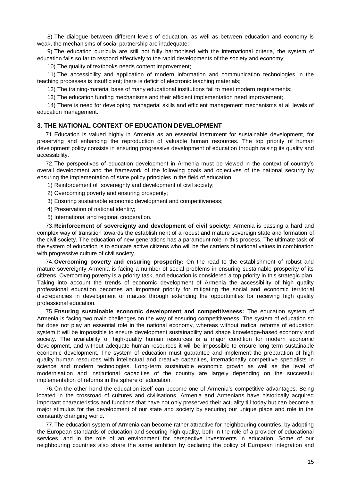8) The dialogue between different levels of education, as well as between education and economy is weak, the mechanisms of social partnership are inadequate;

9) The education curricula are still not fully harmonised with the international criteria, the system of education fails so far to respond effectively to the rapid developments of the society and economy;

10) The quality of textbooks needs content improvement;

11) The accessibility and application of modern information and communication technologies in the teaching processes is insufficient; there is deficit of electronic teaching materials;

12) The training-material base of many educational institutions fail to meet modern requirements;

13) The education funding mechanisms and their efficient implementation need improvement;

14) There is need for developing managerial skills and efficient management mechanisms at all levels of education management.

## <span id="page-14-0"></span>**3. THE NATIONAL CONTEXT OF EDUCATION DEVELOPMENT**

71.Education is valued highly in Armenia as an essential instrument for sustainable development, for preserving and enhancing the reproduction of valuable human resources. The top priority of human development policy consists in ensuring progressive development of education through raising its quality and accessibility.

72.The perspectives of education development in Armenia must be viewed in the context of country's overall development and the framework of the following goals and objectives of the national security by ensuring the implementation of state policy principles in the field of education:

1) Reinforcement of sovereignty and development of civil society;

- 2) Overcoming poverty and ensuring prosperity;
- 3) Ensuring sustainable economic development and competitiveness;
- 4) Preservation of national identity;
- 5) International and regional cooperation.

73.**Reinforcement of sovereignty and development of civil society:** Armenia is passing a hard and complex way of transition towards the establishment of a robust and mature sovereign state and formation of the civil society. The education of new generations has a paramount role in this process. The ultimate task of the system of education is to educate active citizens who will be the carriers of national values in combination with progressive culture of civil society.

74.**Overcoming poverty and ensuring prosperity:** On the road to the establishment of robust and mature sovereignty Armenia is facing a number of social problems in ensuring sustainable prosperity of its citizens. Overcoming poverty is a priority task, and education is considered a top priority in this strategic plan. Taking into account the trends of economic development of Armenia the accessibility of high quality professional education becomes an important priority for mitigating the social and economic territorial discrepancies in development of marzes through extending the opportunities for receiving high quality professional education.

75.**Ensuring sustainable economic development and competitiveness:** The education system of Armenia is facing two main challenges on the way of ensuring competitiveness. The system of education so far does not play an essential role in the national economy, whereas without radical reforms of education system it will be impossible to ensure development sustainability and shape knowledge-based economy and society. The availability of high-quality human resources is a major condition for modern economic development, and without adequate human resources it will be impossible to ensure long-term sustainable economic development. The system of education must guarantee and implement the preparation of high quality human resources with intellectual and creative capacities, internationally competitive specialists in science and modern technologies. Long-term sustainable economic growth as well as the level of modernisation and institutional capacities of the country are largely depending on the successful implementation of reforms in the sphere of education.

76.On the other hand the education itself can become one of Armenia's competitive advantages. Being located in the crossroad of cultures and civilisations, Armenia and Armenians have historically acquired important characteristics and functions that have not only preserved their actuality till today but can become a major stimulus for the development of our state and society by securing our unique place and role in the constantly changing world.

77.The education system of Armenia can become rather attractive for neighbouring countries, by adopting the European standards of education and securing high quality, both in the role of a provider of educational services, and in the role of an environment for perspective investments in education. Some of our neighbouring countries also share the same ambition by declaring the policy of European integration and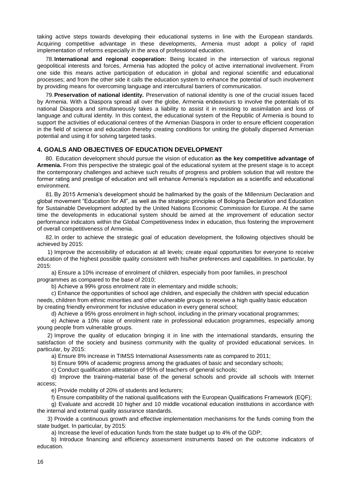taking active steps towards developing their educational systems in line with the European standards. Acquiring competitive advantage in these developments, Armenia must adopt a policy of rapid implementation of reforms especially in the area of professional education.

78.**International and regional cooperation:** Being located in the intersection of various regional geopolitical interests and forces, Armenia has adopted the policy of active international involvement. From one side this means active participation of education in global and regional scientific and educational processes; and from the other side it calls the education system to enhance the potential of such involvement by providing means for overcoming language and intercultural barriers of communication.

79.**Preservation of national identity.** Preservation of national identity is one of the crucial issues faced by Armenia. With a Diaspora spread all over the globe, Armenia endeavours to involve the potentials of its national Diaspora and simultaneously takes a liability to assist it in resisting to assimilation and loss of language and cultural identity. In this context, the educational system of the Republic of Armenia is bound to support the activities of educational centres of the Armenian Diaspora in order to ensure efficient cooperation in the field of science and education thereby creating conditions for uniting the globally dispersed Armenian potential and using it for solving targeted tasks.

## <span id="page-15-0"></span>**4. GOALS AND OBJECTIVES OF EDUCATION DEVELOPMENT**

80. Education development should pursue the vision of education **as the key competitive advantage of Armenia.** From this perspective the strategic goal of the educational system at the present stage is to accept the contemporary challenges and achieve such results of progress and problem solution that will restore the former rating and prestige of education and will enhance Armenia's reputation as a scientific and educational environment.

81.By 2015 Armenia's development should be hallmarked by the goals of the Millennium Declaration and global movement "Education for All", as well as the strategic principles of Bologna Declaration and Education for Sustainable Development adopted by the United Nations Economic Commission for Europe. At the same time the developments in educational system should be aimed at the improvement of education sector performance indicators within the Global Competitiveness Index in education, thus fostering the improvement of overall competitiveness of Armenia.

82.In order to achieve the strategic goal of education development, the following objectives should be achieved by 2015:

1) Improve the accessibility of education at all levels; create equal opportunities for everyone to receive education of the highest possible quality consistent with his/her preferences and capabilities. In particular, by 2015:

a) Ensure a 10% increase of enrolment of children, especially from poor families, in preschool programmes as compared to the base of 2010;

b) Achieve a 99% gross enrolment rate in elementary and middle schools;

c) Enhance the opportunities of school age children, and especially the children with special education needs, children from ethnic minorities and other vulnerable groups to receive a high quality basic education by creating friendly environment for inclusive education in every general school;

d) Achieve a 95% gross enrolment in high school, including in the primary vocational programmes;

e) Achieve a 10% raise of enrolment rate in professional education programmes, especially among young people from vulnerable groups.

2) Improve the quality of education bringing it in line with the international standards, ensuring the satisfaction of the society and business community with the quality of provided educational services. In particular, by 2015:

a) Ensure 8% increase in TIMSS International Assessments rate as compared to 2011;

b) Ensure 99% of academic progress among the graduates of basic and secondary schools;

c) Conduct qualification attestation of 95% of teachers of general schools;

d) Improve the training-material base of the general schools and provide all schools with Internet access;

e) Provide mobility of 20% of students and lecturers;

f) Ensure compatibility of the national qualifications with the European Qualifications Framework (EQF);

g) Evaluate and accredit 10 higher and 10 middle vocational education institutions in accordance with the internal and external quality assurance standards.

3) Provide a continuous growth and effective implementation mechanisms for the funds coming from the state budget. In particular, by 2015:

a) Increase the level of education funds from the state budget up to 4% of the GDP;

b) Introduce financing and efficiency assessment instruments based on the outcome indicators of education.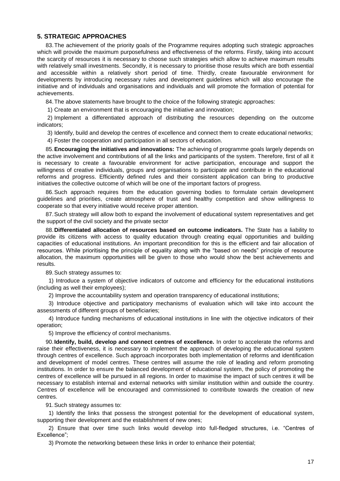## <span id="page-16-0"></span>**5. STRATEGIC APPROACHES**

83.The achievement of the priority goals of the Programme requires adopting such strategic approaches which will provide the maximum purposefulness and effectiveness of the reforms. Firstly, taking into account the scarcity of resources it is necessary to choose such strategies which allow to achieve maximum results with relatively small investments. Secondly, it is necessary to prioritise those results which are both essential and accessible within a relatively short period of time. Thirdly, create favourable environment for developments by introducing necessary rules and development guidelines which will also encourage the initiative and of individuals and organisations and individuals and will promote the formation of potential for achievements.

84.The above statements have brought to the choice of the following strategic approaches:

1) Create an environment that is encouraging the initiative and innovation;

2) Implement a differentiated approach of distributing the resources depending on the outcome indicators;

3) Identify, build and develop the centres of excellence and connect them to create educational networks;

4) Foster the cooperation and participation in all sectors of education.

85.**Encouraging the initiatives and innovations:** The achieving of programme goals largely depends on the active involvement and contributions of all the links and participants of the system. Therefore, first of all it is necessary to create a favourable environment for active participation, encourage and support the willingness of creative individuals, groups and organisations to participate and contribute in the educational reforms and progress. Efficiently defined rules and their consistent application can bring to productive initiatives the collective outcome of which will be one of the important factors of progress.

86.Such approach requires from the education governing bodies to formulate certain development guidelines and priorities, create atmosphere of trust and healthy competition and show willingness to cooperate so that every initiative would receive proper attention.

87.Such strategy will allow both to expand the involvement of educational system representatives and get the support of the civil society and the private sector

88.**Differentiated allocation of resources based on outcome indicators.** The State has a liability to provide its citizens with access to quality education through creating equal opportunities and building capacities of educational institutions. An important precondition for this is the efficient and fair allocation of resources. While prioritising the principle of equality along with the "based on needs" principle of resource allocation, the maximum opportunities will be given to those who would show the best achievements and results.

89.Such strategy assumes to:

1) Introduce a system of objective indicators of outcome and efficiency for the educational institutions (including as well their employees);

2) Improve the accountability system and operation transparency of educational institutions;

3) Introduce objective and participatory mechanisms of evaluation which will take into account the assessments of different groups of beneficiaries;

4) Introduce funding mechanisms of educational institutions in line with the objective indicators of their operation;

5) Improve the efficiency of control mechanisms.

90.**Identify, build, develop and connect centres of excellence.** In order to accelerate the reforms and raise their effectiveness, it is necessary to implement the approach of developing the educational system through centres of excellence. Such approach incorporates both implementation of reforms and identification and development of model centres. These centres will assume the role of leading and reform promoting institutions. In order to ensure the balanced development of educational system, the policy of promoting the centres of excellence will be pursued in all regions. In order to maximise the impact of such centres it will be necessary to establish internal and external networks with similar institution within and outside the country. Centres of excellence will be encouraged and commissioned to contribute towards the creation of new centres.

91.Such strategy assumes to:

1) Identify the links that possess the strongest potential for the development of educational system, supporting their development and the establishment of new ones;

2) Ensure that over time such links would develop into full-fledged structures, i.e. "Centres of Excellence";

3) Promote the networking between these links in order to enhance their potential;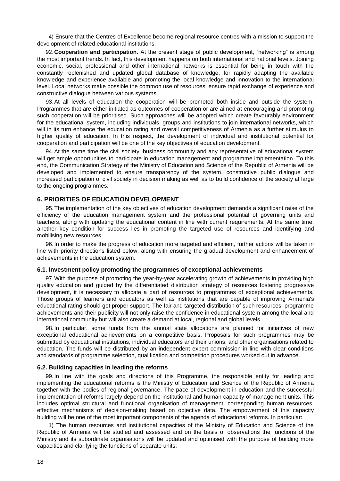4) Ensure that the Centres of Excellence become regional resource centres with a mission to support the development of related educational institutions.

92.**Cooperation and participation.** At the present stage of public development, "networking" is among the most important trends. In fact, this development happens on both international and national levels. Joining economic, social, professional and other international networks is essential for being in touch with the constantly replenished and updated global database of knowledge, for rapidly adapting the available knowledge and experience available and promoting the local knowledge and innovation to the international level. Local networks make possible the common use of resources, ensure rapid exchange of experience and constructive dialogue between various systems.

93.At all levels of education the cooperation will be promoted both inside and outside the system. Programmes that are either initiated as outcomes of cooperation or are aimed at encouraging and promoting such cooperation will be prioritised. Such approaches will be adopted which create favourably environment for the educational system, including individuals, groups and institutions to join international networks, which will in its turn enhance the education rating and overall competitiveness of Armenia as a further stimulus to higher quality of education. In this respect, the development of individual and institutional potential for cooperation and participation will be one of the key objectives of education development.

94.At the same time the civil society, business community and any representative of educational system will get ample opportunities to participate in education management and programme implementation. To this end, the Communication Strategy of the Ministry of Education and Science of the Republic of Armenia will be developed and implemented to ensure transparency of the system, constructive public dialogue and increased participation of civil society in decision making as well as to build confidence of the society at large to the ongoing programmes.

## <span id="page-17-0"></span>**6. PRIORITIES OF EDUCATION DEVELOPMENT**

95.The implementation of the key objectives of education development demands a significant raise of the efficiency of the education management system and the professional potential of governing units and teachers, along with updating the educational content in line with current requirements. At the same time, another key condition for success lies in promoting the targeted use of resources and identifying and mobilising new resources.

96.In order to make the progress of education more targeted and efficient, further actions will be taken in line with priority directions listed below, along with ensuring the gradual development and enhancement of achievements in the education system.

## <span id="page-17-1"></span>**6.1. Investment policy promoting the programmes of exceptional achievements**

97.With the purpose of promoting the year-by-year accelerating growth of achievements in providing high quality education and guided by the differentiated distribution strategy of resources fostering progressive development, it is necessary to allocate a part of resources to programmes of exceptional achievements. Those groups of learners and educators as well as institutions that are capable of improving Armenia's educational rating should get proper support. The fair and targeted distribution of such resources, programme achievements and their publicity will not only raise the confidence in educational system among the local and international community but will also create a demand at local, regional and global levels.

98.In particular, some funds from the annual state allocations are planned for initiatives of new exceptional educational achievements on a competitive basis. Proposals for such programmes may be submitted by educational institutions, individual educators and their unions, and other organisations related to education. The funds will be distributed by an independent expert commission in line with clear conditions and standards of programme selection, qualification and competition procedures worked out in advance.

#### <span id="page-17-2"></span>**6.2. Building capacities in leading the reforms**

99.In line with the goals and directions of this Programme, the responsible entity for leading and implementing the educational reforms is the Ministry of Education and Science of the Republic of Armenia together with the bodies of regional governance. The pace of development in education and the successful implementation of reforms largely depend on the institutional and human capacity of management units. This includes optimal structural and functional organisation of management, corresponding human resources, effective mechanisms of decision-making based on objective data. The empowerment of this capacity building will be one of the most important components of the agenda of educational reforms. In particular:

1) The human resources and institutional capacities of the Ministry of Education and Science of the Republic of Armenia will be studied and assessed and on the basis of observations the functions of the Ministry and its subordinate organisations will be updated and optimised with the purpose of building more capacities and clarifying the functions of separate units;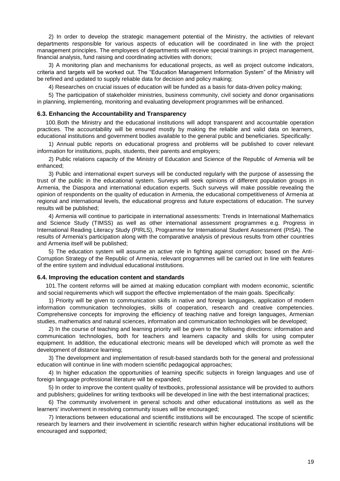2) In order to develop the strategic management potential of the Ministry, the activities of relevant departments responsible for various aspects of education will be coordinated in line with the project management principles. The employees of departments will receive special trainings in project management, financial analysis, fund raising and coordinating activities with donors;

3) A monitoring plan and mechanisms for educational projects, as well as project outcome indicators, criteria and targets will be worked out. The "Education Management Information System" of the Ministry will be refined and updated to supply reliable data for decision and policy making;

4) Researches on crucial issues of education will be funded as a basis for data-driven policy making;

5) The participation of stakeholder ministries, business community, civil society and donor organisations in planning, implementing, monitoring and evaluating development programmes will be enhanced.

#### <span id="page-18-0"></span>**6.3. Enhancing the Accountability and Transparency**

100.Both the Ministry and the educational institutions will adopt transparent and accountable operation practices. The accountability will be ensured mostly by making the reliable and valid data on learners, educational institutions and government bodies available to the general public and beneficiaries. Specifically:

1) Annual public reports on educational progress and problems will be published to cover relevant information for institutions, pupils, students, their parents and employers;

2) Public relations capacity of the Ministry of Education and Science of the Republic of Armenia will be enhanced;

3) Public and international expert surveys will be conducted regularly with the purpose of assessing the trust of the public in the educational system. Surveys will seek opinions of different population groups in Armenia, the Diaspora and international education experts. Such surveys will make possible revealing the opinion of respondents on the quality of education in Armenia, the educational competitiveness of Armenia at regional and international levels, the educational progress and future expectations of education. The survey results will be published;

4) Armenia will continue to participate in international assessments: Trends in International Mathematics and Science Study (TIMSS) as well as other international assessment programmes e.g. Progress in International Reading Literacy Study (PIRLS), Programme for International Student Assessment (PISA). The results of Armenia's participation along with the comparative analysis of previous results from other countries and Armenia itself will be published;

5) The education system will assume an active role in fighting against corruption; based on the Anti-Corruption Strategy of the Republic of Armenia, relevant programmes will be carried out in line with features of the entire system and individual educational institutions.

#### <span id="page-18-1"></span>**6.4. Improving the education content and standards**

101.The content reforms will be aimed at making education compliant with modern economic, scientific and social requirements which will support the effective implementation of the main goals. Specifically:

1) Priority will be given to communication skills in native and foreign languages, application of modern information communication technologies, skills of cooperation, research and creative competencies. Comprehensive concepts for improving the efficiency of teaching native and foreign languages, Armenian studies, mathematics and natural sciences, information and communication technologies will be developed;

2) In the course of teaching and learning priority will be given to the following directions: information and communication technologies, both for teachers and learners capacity and skills for using computer equipment. In addition, the educational electronic means will be developed which will promote as well the development of distance learning;

3) The development and implementation of result-based standards both for the general and professional education will continue in line with modern scientific pedagogical approaches;

4) In higher education the opportunities of learning specific subjects in foreign languages and use of foreign language professional literature will be expanded;

5) In order to improve the content quality of textbooks, professional assistance will be provided to authors and publishers; guidelines for writing textbooks will be developed in line with the best international practices;

6) The community involvement in general schools and other educational institutions as well as the learners' involvement in resolving community issues will be encouraged;

7) Interactions between educational and scientific institutions will be encouraged. The scope of scientific research by learners and their involvement in scientific research within higher educational institutions will be encouraged and supported;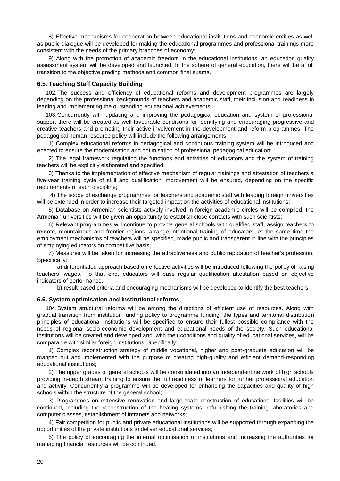8) Effective mechanisms for cooperation between educational institutions and economic entities as well as public dialogue will be developed for making the educational programmes and professional trainings more consistent with the needs of the primary branches of economy;

9) Along with the promotion of academic freedom in the educational institutions, an education quality assessment system will be developed and launched. In the sphere of general education, there will be a full transition to the objective grading methods and common final exams.

## <span id="page-19-0"></span>**6.5. Teaching Staff Capacity Building**

102.The success and efficiency of educational reforms and development programmes are largely depending on the professional backgrounds of teachers and academic staff, their inclusion and readiness in leading and implementing the outstanding educational achievements.

103.Concurrently with updating and improving the pedagogical education and system of professional support there will be created as well favourable conditions for identifying and encouraging progressive and creative teachers and promoting their active involvement in the development and reform programmes. The pedagogical human resource policy will include the following arrangements:

1) Complex educational reforms in pedagogical and continuous training system will be introduced and enacted to ensure the modernisation and optimisation of professional pedagogical education;

2) The legal framework regulating the functions and activities of educators and the system of training teachers will be explicitly elaborated and specified;

3) Thanks to the implementation of effective mechanism of regular trainings and attestation of teachers a five-year training cycle of skill and qualification improvement will be ensured, depending on the specific requirements of each discipline;

4) The scope of exchange programmes for teachers and academic staff with leading foreign universities will be extended in order to increase their targeted impact on the activities of educational institutions;

5) Database on Armenian scientists actively involved in foreign academic circles will be compiled; the Armenian universities will be given an opportunity to establish close contacts with such scientists;

6) Relevant programmes will continue to provide general schools with qualified staff, assign teachers to remote, mountainous and frontier regions, arrange intentional training of educators. At the same time the employment mechanisms of teachers will be specified, made public and transparent in line with the principles of employing educators on competitive basis;

7) Measures will be taken for increasing the attractiveness and public reputation of teacher's profession. Specifically:

a) differentiated approach based on effective activities will be introduced following the policy of raising teachers' wages. To that end, educators will pass regular qualification attestation based on objective indicators of performance,

b) result-based criteria and encouraging mechanisms will be developed to identify the best teachers.

## <span id="page-19-1"></span>**6.6. System optimisation and institutional reforms**

104.System structural reforms will be among the directions of efficient use of resources. Along with gradual transition from institution funding policy to programme funding, the types and territorial distribution principles of educational institutions will be specified to ensure their fullest possible compliance with the needs of regional socio-economic development and educational needs of the society. Such educational institutions will be created and developed and, with their conditions and quality of educational services, will be comparable with similar foreign institutions. Specifically:

1) Complex reconstruction strategy of middle vocational, higher and post-graduate education will be mapped out and implemented with the purpose of creating high-quality and efficient demand-responding educational institutions;

2) The upper grades of general schools will be consolidated into an independent network of high schools providing in-depth stream training to ensure the full readiness of learners for further professional education and activity. Concurrently a programme will be developed for enhancing the capacities and quality of high schools within the structure of the general school;

3) Programmes on extensive renovation and large-scale construction of educational facilities will be continued, including the reconstruction of the heating systems, refurbishing the training laboratories and computer classes, establishment of intranets and networks;

4) Fair competition for public and private educational institutions will be supported through expanding the opportunities of the private institutions to deliver educational services;

5) The policy of encouraging the internal optimisation of institutions and increasing the authorities for managing financial resources will be continued.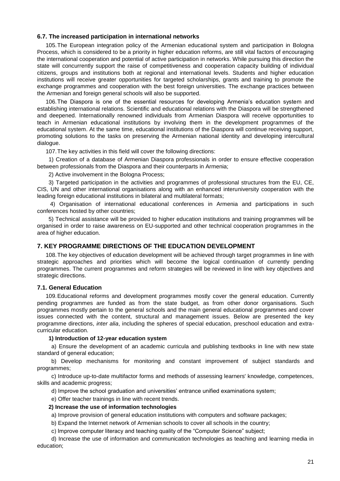## <span id="page-20-0"></span>**6.7. The increased participation in international networks**

105.The European integration policy of the Armenian educational system and participation in Bologna Process, which is considered to be a priority in higher education reforms, are still vital factors of encouraging the international cooperation and potential of active participation in networks. While pursuing this direction the state will concurrently support the raise of competitiveness and cooperation capacity building of individual citizens, groups and institutions both at regional and international levels. Students and higher education institutions will receive greater opportunities for targeted scholarships, grants and training to promote the exchange programmes and cooperation with the best foreign universities. The exchange practices between the Armenian and foreign general schools will also be supported.

106.The Diaspora is one of the essential resources for developing Armenia's education system and establishing international relations. Scientific and educational relations with the Diaspora will be strengthened and deepened. Internationally renowned individuals from Armenian Diaspora will receive opportunities to teach in Armenian educational institutions by involving them in the development programmes of the educational system. At the same time, educational institutions of the Diaspora will continue receiving support, promoting solutions to the tasks on preserving the Armenian national identity and developing intercultural dialogue.

107.The key activities in this field will cover the following directions:

1) Creation of a database of Armenian Diaspora professionals in order to ensure effective cooperation between professionals from the Diaspora and their counterparts in Armenia;

2) Active involvement in the Bologna Process;

3) Targeted participation in the activities and programmes of professional structures from the EU, CE, CIS, UN and other international organisations along with an enhanced interuniversity cooperation with the leading foreign educational institutions in bilateral and multilateral formats;

4) Organisation of international educational conferences in Armenia and participations in such conferences hosted by other countries;

5) Technical assistance will be provided to higher education institutions and training programmes will be organised in order to raise awareness on EU-supported and other technical cooperation programmes in the area of higher education.

## <span id="page-20-1"></span>**7. KEY PROGRAMME DIRECTIONS OF THE EDUCATION DEVELOPMENT**

108.The key objectives of education development will be achieved through target programmes in line with strategic approaches and priorities which will become the logical continuation of currently pending programmes. The current programmes and reform strategies will be reviewed in line with key objectives and strategic directions.

## <span id="page-20-2"></span>**7.1. General Education**

109.Educational reforms and development programmes mostly cover the general education. Currently pending programmes are funded as from the state budget, as from other donor organisations. Such programmes mostly pertain to the general schools and the main general educational programmes and cover issues connected with the content, structural and management issues. Below are presented the key programme directions, *inter alia*, including the spheres of special education, preschool education and extracurricular education.

## **1) Introduction of 12-year education system**

a) Ensure the development of an academic curricula and publishing textbooks in line with new state standard of general education;

b) Develop mechanisms for monitoring and constant improvement of subject standards and programmes;

c) Introduce up-to-date multifactor forms and methods of assessing learners' knowledge, competences, skills and academic progress;

d) Improve the school graduation and universities' entrance unified examinations system;

e) Offer teacher trainings in line with recent trends.

## **2) Increase the use of information technologies**

a) Improve provision of general education institutions with computers and software packages;

b) Expand the Internet network of Armenian schools to cover all schools in the country;

c) Improve computer literacy and teaching quality of the "Computer Science" subject;

d) Increase the use of information and communication technologies as teaching and learning media in education;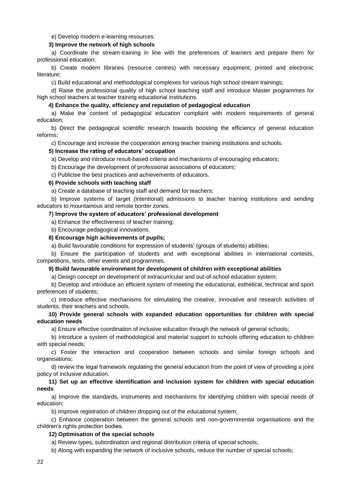e) Develop modern e-learning resources.

#### **3) Improve the network of high schools**

a) Coordinate the stream-training in line with the preferences of learners and prepare them for professional education;

b) Create modern libraries (resource centres) with necessary equipment, printed and electronic literature;

c) Build educational and methodological complexes for various high school stream trainings;

d) Raise the professional quality of high school teaching staff and introduce Master programmes for high school teachers at teacher training educational institutions.

#### **4) Enhance the quality, efficiency and reputation of pedagogical education**

a) Make the content of pedagogical education compliant with modern requirements of general education;

b) Direct the pedagogical scientific research towards boosting the efficiency of general education reforms;

c) Encourage and increase the cooperation among teacher training institutions and schools.

#### **5) Increase the rating of educators' occupation**

a) Develop and introduce result-based criteria and mechanisms of encouraging educators;

b) Encourage the development of professional associations of educators;

c) Publicise the best practices and achievements of educators.

#### **6) Provide schools with teaching staff**

a) Create a database of teaching staff and demand for teachers;

b) Improve systems of target (intentional) admissions to teacher training institutions and sending educators to mountainous and remote border zones.

## **7) Improve the system of educators' professional development**

a) Enhance the effectiveness of teacher training;

b) Encourage pedagogical innovations.

## **8) Encourage high achievements of pupils;**

a) Build favourable conditions for expression of students' (groups of students) abilities;

b) Ensure the participation of students and with exceptional abilities in international contests, competitions, tests, other events and programmes.

## **9) Build favourable environment for development of children with exceptional abilities**

a) Design concept on development of extracurricular and out-of-school education system;

b) Develop and introduce an efficient system of meeting the educational, esthetical, technical and sport preferences of students;

c) Introduce effective mechanisms for stimulating the creative, innovative and research activities of students, their teachers and schools.

## **10) Provide general schools with expanded education opportunities for children with special education needs**

a) Ensure effective coordination of inclusive education through the network of general schools;

b) Introduce a system of methodological and material support to schools offering education to children with special needs;

c) Foster the interaction and cooperation between schools and similar foreign schools and organisations;

d) review the legal framework regulating the general education from the point of view of providing a joint policy of inclusive education.

## **11) Set up an effective identification and inclusion system for children with special education needs**

a) Improve the standards, instruments and mechanisms for identifying children with special needs of education;

b) Improve registration of children dropping out of the educational system;

c) Enhance cooperation between the general schools and non-governmental organisations and the children's rights protection bodies.

## **12) Optimisation of the special schools**

a) Review types, subordination and regional distribution criteria of special schools;

b) Along with expanding the network of inclusive schools, reduce the number of special schools;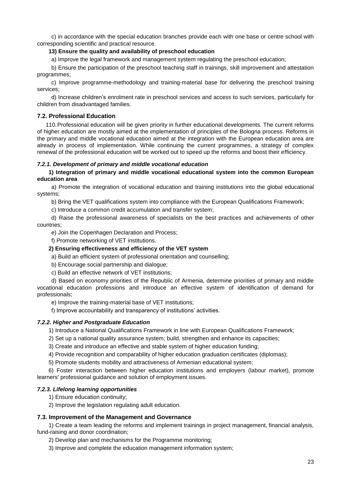c) in accordance with the special education branches provide each with one base or centre school with corresponding scientific and practical resource.

## **13) Ensure the quality and availability of preschool education**

a) Improve the legal framework and management system regulating the preschool education;

b) Ensure the participation of the preschool teaching staff in trainings, skill improvement and attestation programmes;

c) Improve programme-methodology and training-material base for delivering the preschool training services;

d) Increase children's enrolment rate in preschool services and access to such services, particularly for children from disadvantaged families.

## <span id="page-22-0"></span>**7.2. Professional Education**

110.Professional education will be given priority in further educational developments. The current reforms of higher education are mostly aimed at the implementation of principles of the Bologna process. Reforms in the primary and middle vocational education aimed at the integration with the European education area are already in process of implementation. While continuing the current programmes, a strategy of complex renewal of the professional education will be worked out to speed up the reforms and boost their efficiency.

## <span id="page-22-1"></span>*7.2.1. Development of primary and middle vocational education*

**1) Integration of primary and middle vocational educational system into the common European education area**

a) Promote the integration of vocational education and training institutions into the global educational systems;

b) Bring the VET qualifications system into compliance with the European Qualifications Framework;

c) Introduce a common credit accumulation and transfer system;

d) Raise the professional awareness of specialists on the best practices and achievements of other countries;

e) Join the Copenhagen Declaration and Process;

f) Promote networking of VET institutions.

## **2) Ensuring effectiveness and efficiency of the VET system**

a) Build an efficient system of professional orientation and counselling;

b) Encourage social partnership and dialogue;

c) Build an effective network of VET institutions;

d) Based on economy priorities of the Republic of Armenia, determine priorities of primary and middle vocational education professions and introduce an effective system of identification of demand for professionals;

e) Improve the training-material base of VET institutions;

f) Improve accountability and transparency of institutions' activities.

## <span id="page-22-2"></span>*7.2.2. Higher and Postgraduate Education*

1) Introduce a National Qualifications Framework in line with European Qualifications Framework;

- 2) Set up a national quality assurance system; build, strengthen and enhance its capacities;
- 3) Create and introduce an effective and stable system of higher education funding;
- 4) Provide recognition and comparability of higher education graduation certificates (diplomas);
- 5) Promote students mobility and attractiveness of Armenian educational system;

6) Foster interaction between higher education institutions and employers (labour market), promote learners' professional guidance and solution of employment issues.

## <span id="page-22-3"></span>*7.2.3. Lifelong learning opportunities*

- 1) Ensure education continuity;
- 2) Improve the legislation regulating adult education.

## <span id="page-22-4"></span>**7.3. Improvement of the Management and Governance**

1) Create a team leading the reforms and implement trainings in project management, financial analysis, fund-raising and donor coordination;

- 2) Develop plan and mechanisms for the Programme monitoring;
- 3) Improve and complete the education management information system;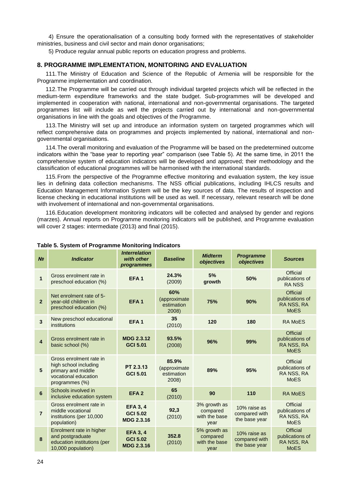4) Ensure the operationalisation of a consulting body formed with the representatives of stakeholder ministries, business and civil sector and main donor organisations;

5) Produce regular annual public reports on education progress and problems.

## <span id="page-23-0"></span>**8. PROGRAMME IMPLEMENTATION, MONITORING AND EVALUATION**

111.The Ministry of Education and Science of the Republic of Armenia will be responsible for the Programme implementation and coordination.

112.The Programme will be carried out through individual targeted projects which will be reflected in the medium-term expenditure frameworks and the state budget. Sub-programmes will be developed and implemented in cooperation with national, international and non-governmental organisations. The targeted programmes list will include as well the projects carried out by international and non-governmental organisations in line with the goals and objectives of the Programme.

113.The Ministry will set up and introduce an information system on targeted programmes which will reflect comprehensive data on programmes and projects implemented by national, international and nongovernmental organisations.

114.The overall monitoring and evaluation of the Programme will be based on the predetermined outcome indicators within the "base year to reporting year" comparison (see Table 5). At the same time, in 2011 the comprehensive system of education indicators will be developed and approved; their methodology and the classification of educational programmes will be harmonised with the international standards.

115.From the perspective of the Programme effective monitoring and evaluation system, the key issue lies in defining data collection mechanisms. The NSS official publications, including IHLCS results and Education Management Information System will be the key sources of data. The results of inspection and license checking in educational institutions will be used as well. If necessary, relevant research will be done with involvement of international and non-governmental organisations.

116.Education development monitoring indicators will be collected and analysed by gender and regions (marzes). Annual reports on Programme monitoring indicators will be published, and Programme evaluation will cover 2 stages: intermediate (2013) and final (2015).

| N <sub>2</sub>          | <b>Indicator</b>                                                                                                 | <b>Interrelation</b><br>with other<br>programmes        | <b>Baseline</b>                              | <b>Midterm</b><br>objectives                      | <b>Programme</b><br>objectives                 | <b>Sources</b>                                           |
|-------------------------|------------------------------------------------------------------------------------------------------------------|---------------------------------------------------------|----------------------------------------------|---------------------------------------------------|------------------------------------------------|----------------------------------------------------------|
| $\overline{1}$          | Gross enrolment rate in<br>preschool education (%)                                                               | EFA <sub>1</sub>                                        | 24.3%<br>(2009)                              | 5%<br>growth                                      | 50%                                            | Official<br>publications of<br><b>RANSS</b>              |
| $\overline{2}$          | Net enrolment rate of 5-<br>year-old children in<br>preschool education (%)                                      | EFA <sub>1</sub>                                        | 60%<br>(approximate<br>estimation<br>2008)   | 75%                                               | 90%                                            | Official<br>publications of<br>RA NSS, RA<br><b>MoES</b> |
| 3                       | New preschool educational<br>institutions                                                                        | EFA <sub>1</sub>                                        | 35<br>(2010)                                 | 120                                               | 180                                            | <b>RA MoES</b>                                           |
| $\overline{\mathbf{4}}$ | Gross enrolment rate in<br>basic school (%)                                                                      | <b>MDG 2.3.12</b><br><b>GCI 5.01</b>                    | 93.5%<br>(2008)                              | 96%                                               | 99%                                            | Official<br>publications of<br>RA NSS, RA<br><b>MoES</b> |
| 5                       | Gross enrolment rate in<br>high school including<br>primary and middle<br>vocational education<br>programmes (%) | PT 2.3.13<br><b>GCI 5.01</b>                            | 85.9%<br>(approximate<br>estimation<br>2008) | 89%                                               | 95%                                            | Official<br>publications of<br>RA NSS, RA<br><b>MoES</b> |
| 6                       | Schools involved in<br>inclusive education system                                                                | EFA <sub>2</sub>                                        | 65<br>(2010)                                 | 90                                                | 110                                            | <b>RA MoES</b>                                           |
| $\overline{7}$          | Gross enrolment rate in<br>middle vocational<br>institutions (per 10,000<br>population)                          | <b>EFA 3, 4</b><br><b>GCI 5.02</b><br><b>MDG 2.3.16</b> | 92,3<br>(2010)                               | 3% growth as<br>compared<br>with the base<br>year | 10% raise as<br>compared with<br>the base year | Official<br>publications of<br>RA NSS, RA<br><b>MoES</b> |
| 8                       | Enrolment rate in higher<br>and postgraduate<br>education institutions (per<br>10,000 population)                | <b>EFA 3, 4</b><br><b>GCI 5.02</b><br><b>MDG 2.3.16</b> | 352.8<br>(2010)                              | 5% growth as<br>compared<br>with the base<br>year | 10% raise as<br>compared with<br>the base year | Official<br>publications of<br>RA NSS, RA<br><b>MoES</b> |

## **Table 5. System of Programme Monitoring Indicators**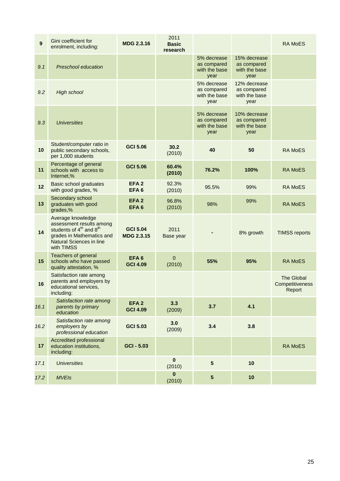| $\boldsymbol{9}$ | Gini coefficient for<br>enrolment, including:                                                                                                                                  | <b>MDG 2.3.16</b>                    | 2011<br><b>Basic</b><br>research |                                                     |                                                      | <b>RA MoES</b>                                 |
|------------------|--------------------------------------------------------------------------------------------------------------------------------------------------------------------------------|--------------------------------------|----------------------------------|-----------------------------------------------------|------------------------------------------------------|------------------------------------------------|
| 9.1              | Preschool education                                                                                                                                                            |                                      |                                  | 5% decrease<br>as compared<br>with the base<br>year | 15% decrease<br>as compared<br>with the base<br>year |                                                |
| 9.2              | <b>High school</b>                                                                                                                                                             |                                      |                                  | 5% decrease<br>as compared<br>with the base<br>year | 12% decrease<br>as compared<br>with the base<br>year |                                                |
| 9.3              | <b>Universities</b>                                                                                                                                                            |                                      |                                  | 5% decrease<br>as compared<br>with the base<br>year | 10% decrease<br>as compared<br>with the base<br>year |                                                |
| 10               | Student/computer ratio in<br>public secondary schools,<br>per 1,000 students                                                                                                   | <b>GCI 5.06</b>                      | 30.2<br>(2010)                   | 40                                                  | 50                                                   | <b>RA MoES</b>                                 |
| 11               | Percentage of general<br>schools with access to<br>Internet,%                                                                                                                  | <b>GCI 5.06</b>                      | 60.4%<br>(2010)                  | 76.2%                                               | 100%                                                 | <b>RA MoES</b>                                 |
| 12               | Basic school graduates<br>with good grades, %                                                                                                                                  | EFA <sub>2</sub><br>EFA <sub>6</sub> | 92.3%<br>(2010)                  | 95.5%                                               | 99%                                                  | <b>RA MoES</b>                                 |
| 13               | Secondary school<br>graduates with good<br>grades,%                                                                                                                            | EFA <sub>2</sub><br>EFA <sub>6</sub> | 96.8%<br>(2010)                  | 98%                                                 | 99%                                                  | <b>RA MoES</b>                                 |
| 14               | Average knowledge<br>assessment results among<br>students of 4 <sup>th</sup> and 8 <sup>th</sup><br>grades in Mathematics and<br><b>Natural Sciences in line</b><br>with TIMSS | <b>GCI 5.04</b><br><b>MDG 2.3.15</b> | 2011<br>Base year                |                                                     | 8% growth                                            | <b>TIMSS reports</b>                           |
| 15               | <b>Teachers of general</b><br>schools who have passed<br>quality attestation, %                                                                                                | EFA <sub>6</sub><br><b>GCI 4.09</b>  | $\mathbf{0}$<br>(2010)           | 55%                                                 | 95%                                                  | <b>RA MoES</b>                                 |
| 16               | Satisfaction rate among<br>parents and employers by<br>educational services,<br>including:                                                                                     |                                      |                                  |                                                     |                                                      | <b>The Global</b><br>Competitiveness<br>Report |
| 16.1             | Satisfaction rate among<br>parents by primary<br>education                                                                                                                     | EFA <sub>2</sub><br><b>GCI 4.09</b>  | 3.3<br>(2009)                    | 3.7                                                 | 4.1                                                  |                                                |
| 16.2             | Satisfaction rate among<br>employers by<br>professional education                                                                                                              | <b>GCI 5.03</b>                      | 3.0<br>(2009)                    | 3.4                                                 | 3.8                                                  |                                                |
| 17               | Accredited professional<br>education institutions,<br>including:                                                                                                               | <b>GCI - 5.03</b>                    |                                  |                                                     |                                                      | <b>RA MoES</b>                                 |
| 17.1             | <b>Universities</b>                                                                                                                                                            |                                      | $\pmb{0}$<br>(2010)              | $5\phantom{1}$                                      | 10                                                   |                                                |
| 17.2             | <b>MVEIs</b>                                                                                                                                                                   |                                      | $\bf{0}$<br>(2010)               | ${\bf 5}$                                           | 10                                                   |                                                |